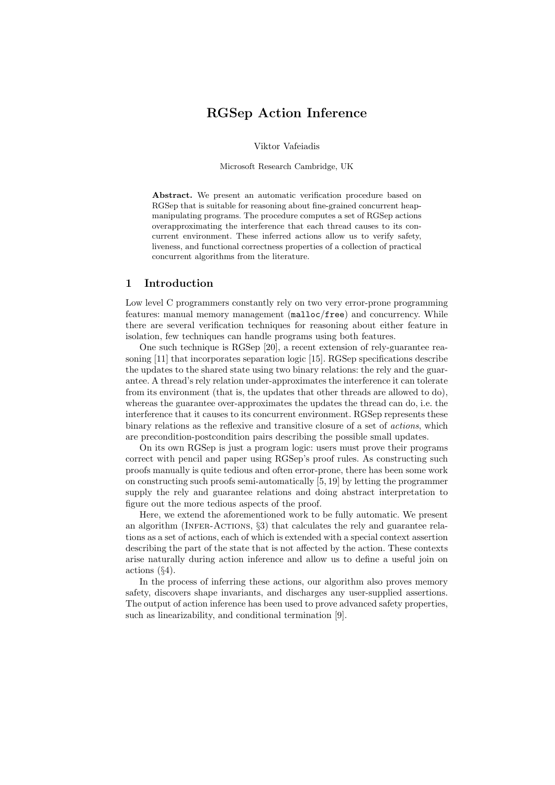# RGSep Action Inference

Viktor Vafeiadis

Microsoft Research Cambridge, UK

Abstract. We present an automatic verification procedure based on RGSep that is suitable for reasoning about fine-grained concurrent heapmanipulating programs. The procedure computes a set of RGSep actions overapproximating the interference that each thread causes to its concurrent environment. These inferred actions allow us to verify safety, liveness, and functional correctness properties of a collection of practical concurrent algorithms from the literature.

# 1 Introduction

Low level C programmers constantly rely on two very error-prone programming features: manual memory management (malloc/free) and concurrency. While there are several verification techniques for reasoning about either feature in isolation, few techniques can handle programs using both features.

One such technique is RGSep [20], a recent extension of rely-guarantee reasoning [11] that incorporates separation logic [15]. RGSep specifications describe the updates to the shared state using two binary relations: the rely and the guarantee. A thread's rely relation under-approximates the interference it can tolerate from its environment (that is, the updates that other threads are allowed to do), whereas the guarantee over-approximates the updates the thread can do, i.e. the interference that it causes to its concurrent environment. RGSep represents these binary relations as the reflexive and transitive closure of a set of *actions*, which are precondition-postcondition pairs describing the possible small updates.

On its own RGSep is just a program logic: users must prove their programs correct with pencil and paper using RGSep's proof rules. As constructing such proofs manually is quite tedious and often error-prone, there has been some work on constructing such proofs semi-automatically [5, 19] by letting the programmer supply the rely and guarantee relations and doing abstract interpretation to figure out the more tedious aspects of the proof.

Here, we extend the aforementioned work to be fully automatic. We present an algorithm (INFER-ACTIONS,  $\S$ ) that calculates the rely and guarantee relations as a set of actions, each of which is extended with a special context assertion describing the part of the state that is not affected by the action. These contexts arise naturally during action inference and allow us to define a useful join on actions (§4).

In the process of inferring these actions, our algorithm also proves memory safety, discovers shape invariants, and discharges any user-supplied assertions. The output of action inference has been used to prove advanced safety properties. such as linearizability, and conditional termination [9].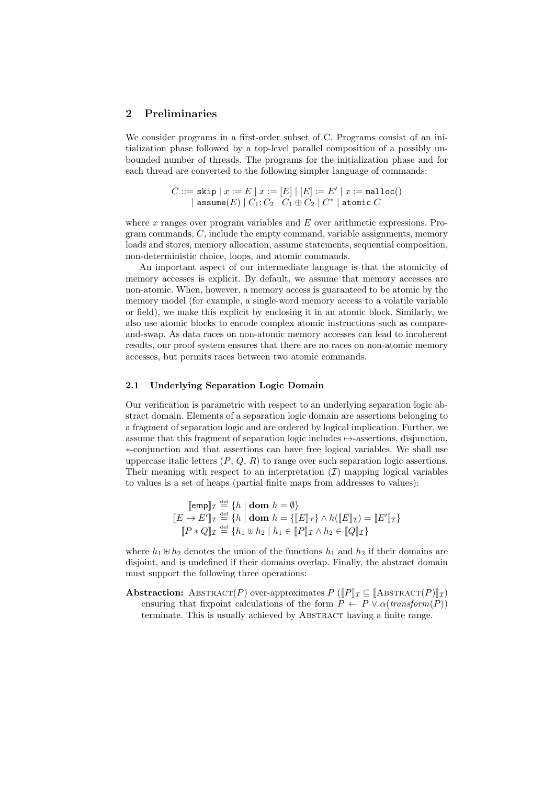# 2 Preliminaries

We consider programs in a first-order subset of C. Programs consist of an initialization phase followed by a top-level parallel composition of a possibly unbounded number of threads. The programs for the initialization phase and for each thread are converted to the following simpler language of commands:

$$
C ::= \texttt{skip} | x := E | x := [E] | [E] := E' | x := \texttt{malloc}()
$$
  
 
$$
| \texttt{assume}(E) | C_1; C_2 | C_1 \oplus C_2 | C^* | \texttt{atomic } C
$$

where  $x$  ranges over program variables and  $E$  over arithmetic expressions. Program commands, C, include the empty command, variable assignments, memory loads and stores, memory allocation, assume statements, sequential composition, non-deterministic choice, loops, and atomic commands.

An important aspect of our intermediate language is that the atomicity of memory accesses is explicit. By default, we assume that memory accesses are non-atomic. When, however, a memory access is guaranteed to be atomic by the memory model (for example, a single-word memory access to a volatile variable or field), we make this explicit by enclosing it in an atomic block. Similarly, we also use atomic blocks to encode complex atomic instructions such as compareand-swap. As data races on non-atomic memory accesses can lead to incoherent results, our proof system ensures that there are no races on non-atomic memory accesses, but permits races between two atomic commands.

#### 2.1 Underlying Separation Logic Domain

Our verification is parametric with respect to an underlying separation logic abstract domain. Elements of a separation logic domain are assertions belonging to a fragment of separation logic and are ordered by logical implication. Further, we assume that this fragment of separation logic includes  $\mapsto$ -assertions, disjunction, ∗-conjunction and that assertions can have free logical variables. We shall use uppercase italic letters  $(P, Q, R)$  to range over such separation logic assertions. Their meaning with respect to an interpretation  $(\mathcal{I})$  mapping logical variables to values is a set of heaps (partial finite maps from addresses to values):

$$
\begin{aligned}\n\text{[emp]} \mathbf{x} &\stackrel{\text{def}}{=} \{h \mid \text{dom } h = \emptyset\} \\
\llbracket E \mapsto E' \rrbracket \mathbf{x} \stackrel{\text{def}}{=} \{h \mid \text{dom } h = \{\llbracket E \rrbracket \mathbf{x}\} \wedge h(\llbracket E \rrbracket \mathbf{x}) = \llbracket E' \rrbracket \mathbf{x}\} \\
\llbracket P * Q \rrbracket \mathbf{x} \stackrel{\text{def}}{=} \{h_1 \uplus h_2 \mid h_1 \in \llbracket P \rrbracket \mathbf{x} \wedge h_2 \in \llbracket Q \rrbracket \mathbf{x}\}\n\end{aligned}
$$

where  $h_1 \oplus h_2$  denotes the union of the functions  $h_1$  and  $h_2$  if their domains are disjoint, and is undefined if their domains overlap. Finally, the abstract domain must support the following three operations:

Abstraction: ABSTRACT(P) over-approximates  $P([P]_{\mathcal{I}} \subseteq [\text{ABSTRACT}(P)]_{\mathcal{I}})$ ensuring that fixpoint calculations of the form  $P \leftarrow P \vee \alpha (transform(P))$ terminate. This is usually achieved by ABSTRACT having a finite range.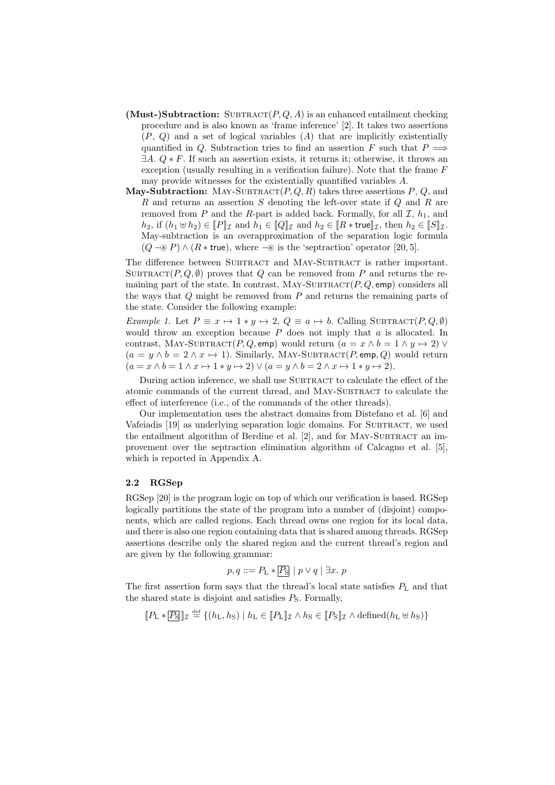- (Must-)Subtraction: SUBTRACT( $P, Q, A$ ) is an enhanced entailment checking procedure and is also known as 'frame inference' [2]. It takes two assertions  $(P, Q)$  and a set of logical variables  $(A)$  that are implicitly existentially quantified in Q. Subtraction tries to find an assertion F such that  $P \implies$  $\exists A. Q * F.$  If such an assertion exists, it returns it; otherwise, it throws an exception (usually resulting in a verification failure). Note that the frame  $F$ may provide witnesses for the existentially quantified variables A.
- May-Subtraction: MAY-SUBTRACT $(P, Q, R)$  takes three assertions P, Q, and  $R$  and returns an assertion  $S$  denoting the left-over state if  $Q$  and  $R$  are removed from P and the R-part is added back. Formally, for all  $\mathcal{I}, h_1$ , and  $h_2$ , if  $(h_1 \uplus h_2) \in [P]_{\mathcal{I}}$  and  $h_1 \in [Q]_{\mathcal{I}}$  and  $h_2 \in [R * true]_{\mathcal{I}}$ , then  $h_2 \in [S]_{\mathcal{I}}$ . May-subtraction is an overapproximation of the separation logic formula  $(Q \rightarrow \mathbb{R}) \wedge (R \ast \mathsf{true})$ , where  $\neg \mathbb{R}$  is the 'septraction' operator [20, 5].

The difference between SUBTRACT and MAY-SUBTRACT is rather important. SUBTRACT( $P, Q, \emptyset$ ) proves that Q can be removed from P and returns the remaining part of the state. In contrast, MAY-SUBTRACT $(P, Q, \text{emp})$  considers all the ways that  $Q$  might be removed from  $P$  and returns the remaining parts of the state. Consider the following example:

*Example 1.* Let  $P \equiv x \mapsto 1 * y \mapsto 2$ ,  $Q \equiv a \mapsto b$ . Calling SUBTRACT $(P, Q, \emptyset)$ would throw an exception because  $P$  does not imply that  $a$  is allocated. In contrast, MAY-SUBTRACT(P, Q, emp) would return  $(a = x \land b = 1 \land y \mapsto 2)$   $\lor$  $(a = y \wedge b = 2 \wedge x \mapsto 1)$ . Similarly, MAY-SUBTRACT(P, emp, Q) would return  $(a = x \wedge b = 1 \wedge x \mapsto 1 * y \mapsto 2) \vee (a = y \wedge b = 2 \wedge x \mapsto 1 * y \mapsto 2).$ 

During action inference, we shall use SUBTRACT to calculate the effect of the atomic commands of the current thread, and MAY-SUBTRACT to calculate the effect of interference (i.e., of the commands of the other threads).

Our implementation uses the abstract domains from Distefano et al. [6] and Vafeiadis [19] as underlying separation logic domains. For SUBTRACT, we used the entailment algorithm of Berdine et al. [2], and for MAY-SUBTRACT an improvement over the septraction elimination algorithm of Calcagno et al. [5], which is reported in Appendix A.

#### 2.2 RGSep

RGSep [20] is the program logic on top of which our verification is based. RGSep logically partitions the state of the program into a number of (disjoint) components, which are called regions. Each thread owns one region for its local data, and there is also one region containing data that is shared among threads. RGSep assertions describe only the shared region and the current thread's region and are given by the following grammar:

$$
p,q ::= P_{\text{L}} * \boxed{P_{\text{S}}} \ | \ p \vee q \ | \ \exists x. \ p
$$

The first assertion form says that the thread's local state satisfies  $P_L$  and that the shared state is disjoint and satisfies  $P<sub>S</sub>$ . Formally,

$$
[\![P_{\text{L}} * \boxed{P_{\text{S}}}\!]_{\mathcal{I}} \stackrel{\text{def}}{=} \{ (h_{\text{L}}, h_{\text{S}}) \mid h_{\text{L}} \in [\![P_{\text{L}}]\!]_{\mathcal{I}} \land h_{\text{S}} \in [\![P_{\text{S}}]\!]_{\mathcal{I}} \land \text{defined}(h_{\text{L}} \uplus h_{\text{S}}) \}
$$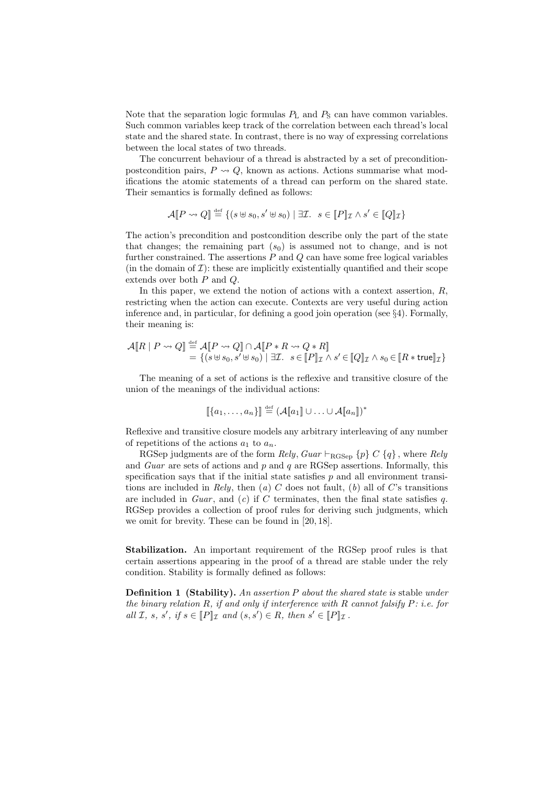Note that the separation logic formulas  $P<sub>L</sub>$  and  $P<sub>S</sub>$  can have common variables. Such common variables keep track of the correlation between each thread's local state and the shared state. In contrast, there is no way of expressing correlations between the local states of two threads.

The concurrent behaviour of a thread is abstracted by a set of preconditionpostcondition pairs,  $P \rightsquigarrow Q$ , known as actions. Actions summarise what modifications the atomic statements of a thread can perform on the shared state. Their semantics is formally defined as follows:

$$
\mathcal{A}[\![P \leadsto Q]\!] \stackrel{\text{def}}{=} \{ (s \uplus s_0, s' \uplus s_0) \mid \exists \mathcal{I}. \ \ s \in [\![P]\!]_{\mathcal{I}} \land s' \in [\![Q]\!]_{\mathcal{I}} \}
$$

The action's precondition and postcondition describe only the part of the state that changes; the remaining part  $(s_0)$  is assumed not to change, and is not further constrained. The assertions  $P$  and  $Q$  can have some free logical variables (in the domain of  $\mathcal{I}$ ): these are implicitly existentially quantified and their scope extends over both P and Q.

In this paper, we extend the notion of actions with a context assertion,  $R$ , restricting when the action can execute. Contexts are very useful during action inference and, in particular, for defining a good join operation (see §4). Formally, their meaning is:

$$
\mathcal{A}[\![R\mid P \leadsto Q]\!] \stackrel{\text{def}}{=} \mathcal{A}[\![P \leadsto Q]\!] \cap \mathcal{A}[\![P * R \leadsto Q * R]\!]
$$
  
=  $\{(s \uplus s_0, s' \uplus s_0) \mid \exists \mathcal{I}. \ \ s \in [\![P]\!]_{\mathcal{I}} \land s' \in [\![Q]\!]_{\mathcal{I}} \land s_0 \in [\![R * \text{true}]\!]_{\mathcal{I}}\}$ 

The meaning of a set of actions is the reflexive and transitive closure of the union of the meanings of the individual actions:

$$
\llbracket \{a_1,\ldots,a_n\}\rrbracket \stackrel{\text{def}}{=} (\mathcal{A}\llbracket a_1\rrbracket \cup \ldots \cup \mathcal{A}\llbracket a_n\rrbracket)^*
$$

Reflexive and transitive closure models any arbitrary interleaving of any number of repetitions of the actions  $a_1$  to  $a_n$ .

RGSep judgments are of the form  $Rely$ ,  $Guar \vdash_{RGSen} \{p\} C \{q\}$ , where  $Rely$ and *Guar* are sets of actions and p and q are RGSep assertions. Informally, this specification says that if the initial state satisfies  $p$  and all environment transitions are included in *Rely*, then (*a*) C does not fault, (*b*) all of C's transitions are included in *Guar*, and  $(c)$  if  $C$  terminates, then the final state satisfies  $q$ . RGSep provides a collection of proof rules for deriving such judgments, which we omit for brevity. These can be found in [20, 18].

Stabilization. An important requirement of the RGSep proof rules is that certain assertions appearing in the proof of a thread are stable under the rely condition. Stability is formally defined as follows:

Definition 1 (Stability). *An assertion* P *about the shared state is* stable *under the binary relation* R*, if and only if interference with* R *cannot falsify* P*: i.e. for all*  $\mathcal{I}, s, s', \text{ if } s \in [P]_{\mathcal{I}} \text{ and } (s, s') \in R, \text{ then } s' \in [P]_{\mathcal{I}}.$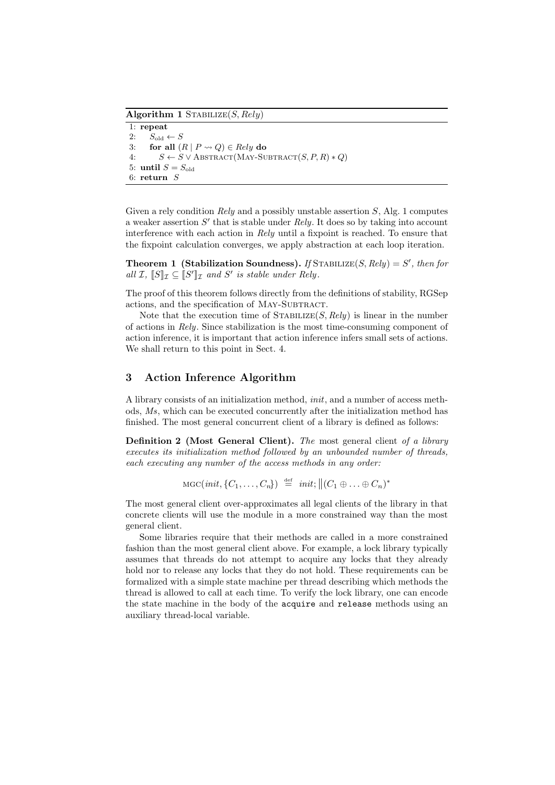# Algorithm 1  $STABILITY(S, Rely)$

1: repeat 2:  $S_{old} \leftarrow S$ <br>3: for all (*i* 3: for all  $(R | P \rightsquigarrow Q) \in \text{Rely do}$ <br>4.  $S \leftarrow S \vee \text{ABSTBACT}(\text{May-Su})$  $S \leftarrow S \vee \text{ABSTRACT}(\text{MAY-SUBTRACT}(S, P, R) * Q)$ 5: until  $S = S_{old}$ 6: return  $S$ 

Given a rely condition *Rely* and a possibly unstable assertion S, Alg. 1 computes a weaker assertion  $S'$  that is stable under  $Rely$ . It does so by taking into account interference with each action in *Rely* until a fixpoint is reached. To ensure that the fixpoint calculation converges, we apply abstraction at each loop iteration.

**Theorem 1 (Stabilization Soundness).** If  $\text{STABILITY}(S, Rely) = S'$ , then for *all*  $\mathcal{I}, \llbracket S \rrbracket_{\mathcal{I}} \subseteq \llbracket S' \rrbracket_{\mathcal{I}}$  *and*  $S'$  *is stable under Rely.* 

The proof of this theorem follows directly from the definitions of stability, RGSep actions, and the specification of MAY-SUBTRACT.

Note that the execution time of  $STABILITY(S, Rely)$  is linear in the number of actions in *Rely*. Since stabilization is the most time-consuming component of action inference, it is important that action inference infers small sets of actions. We shall return to this point in Sect. 4.

# 3 Action Inference Algorithm

A library consists of an initialization method, *init*, and a number of access methods, *Ms*, which can be executed concurrently after the initialization method has finished. The most general concurrent client of a library is defined as follows:

Definition 2 (Most General Client). *The* most general client *of a library executes its initialization method followed by an unbounded number of threads, each executing any number of the access methods in any order:*

$$
\operatorname{MGC}(init, \{C_1, \ldots, C_n\}) \stackrel{\text{def}}{=} init; \|(C_1 \oplus \ldots \oplus C_n)^*
$$

The most general client over-approximates all legal clients of the library in that concrete clients will use the module in a more constrained way than the most general client.

Some libraries require that their methods are called in a more constrained fashion than the most general client above. For example, a lock library typically assumes that threads do not attempt to acquire any locks that they already hold nor to release any locks that they do not hold. These requirements can be formalized with a simple state machine per thread describing which methods the thread is allowed to call at each time. To verify the lock library, one can encode the state machine in the body of the acquire and release methods using an auxiliary thread-local variable.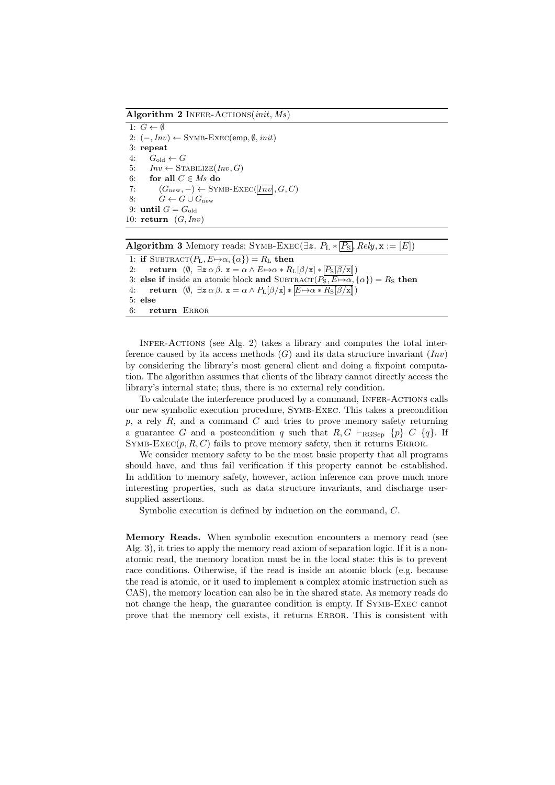#### Algorithm 2 Infer-Actions(*init*, *Ms*)

```
1: G \leftarrow \emptyset2: (−,Inv) ← Symb-Exec(emp, ∅, init)
 3: repeat
 4: G_{old} \leftarrow G<br>5: Inv \leftarrow ST5: Inv \leftarrow \text{STABILITY}(Inv, G)<br>6: for all C \in Ms do
 6: for all C \in Ms do<br>7: (G_{\text{new}} -) \leftarrow SYN7: (G_{\text{new}}, -) \leftarrow \text{SYMB-EXEC}(\boxed{\text{Inv}}], G, C)<br>8: G \leftarrow G \cup G_{\text{new}}G \leftarrow G \cup G_{\text{new}}9: until G = G_{old}10: return (G,Inv)
```

| <b>Algorithm 3</b> Memory reads: SYMB-EXEC( $\exists z. P_L * \overline{P_S}$ , $Rely, x := [E]$ ) |  |  |  |  |  |
|----------------------------------------------------------------------------------------------------|--|--|--|--|--|
|                                                                                                    |  |  |  |  |  |
|                                                                                                    |  |  |  |  |  |
|                                                                                                    |  |  |  |  |  |
|                                                                                                    |  |  |  |  |  |
|                                                                                                    |  |  |  |  |  |
|                                                                                                    |  |  |  |  |  |
|                                                                                                    |  |  |  |  |  |

Infer-Actions (see Alg. 2) takes a library and computes the total interference caused by its access methods  $(G)$  and its data structure invariant  $(Inv)$ by considering the library's most general client and doing a fixpoint computation. The algorithm assumes that clients of the library cannot directly access the library's internal state; thus, there is no external rely condition.

To calculate the interference produced by a command, Infer-Actions calls our new symbolic execution procedure, Symb-Exec. This takes a precondition p, a rely  $R$ , and a command  $C$  and tries to prove memory safety returning a guarantee G and a postcondition q such that  $R, G \vdash_{\text{RGSen}} \{p\} C \{q\}$ . If SYMB-EXEC $(p, R, C)$  fails to prove memory safety, then it returns ERROR.

We consider memory safety to be the most basic property that all programs should have, and thus fail verification if this property cannot be established. In addition to memory safety, however, action inference can prove much more interesting properties, such as data structure invariants, and discharge usersupplied assertions.

Symbolic execution is defined by induction on the command, C.

Memory Reads. When symbolic execution encounters a memory read (see Alg. 3), it tries to apply the memory read axiom of separation logic. If it is a nonatomic read, the memory location must be in the local state: this is to prevent race conditions. Otherwise, if the read is inside an atomic block (e.g. because the read is atomic, or it used to implement a complex atomic instruction such as CAS), the memory location can also be in the shared state. As memory reads do not change the heap, the guarantee condition is empty. If Symb-Exec cannot prove that the memory cell exists, it returns Error. This is consistent with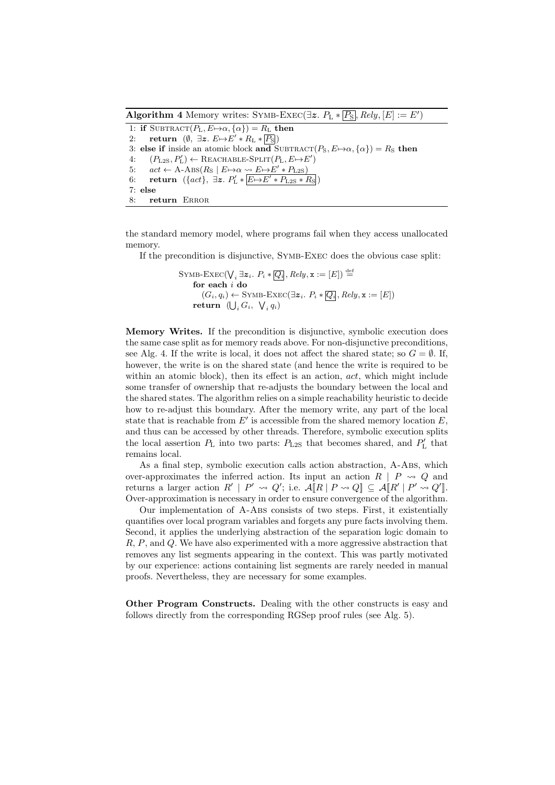Algorithm 4 Memory writes: SYMB-EXEC( $\exists z. P_L * [P_S], \text{Rely}, [E] := E'$ )

1: if SUBTRACT $(P_L, E \mapsto \alpha, {\alpha}$ ) =  $R_L$  then<br>2: return  $(\emptyset, \exists z, E \mapsto E' * R_L * |\overline{P_S})$ return  $(\emptyset, \exists z. E \rightarrow E' * R_L * \overline{P_S})$ 3: else if inside an atomic block and SUBTRACT $(P_S, E \mapsto \alpha, {\alpha}$ ) = R<sub>S</sub> then 4:  $(P_{\text{L},S}, P') \leftarrow \text{REACHABLE-SPLIT}(P_{\text{L},E} \mapsto E')$ 4:  $(P_{\text{L2S}}, P_{\text{L}}') \leftarrow \text{REACHABLE-SPLIT}(P_{\text{L}}, E \rightarrow E')$ 5:  $act \leftarrow A-ABS(R_S | E\mapsto \alpha \rightsquigarrow E\mapsto E' * P_{L2S})$ <br>6: return  $({act}, \exists z, P'_t * \overline{E\mapsto E'} * P_{L2S} * P'_t$  $6:$  **return**  $(\{act\}, \exists z. P'_{L} * | E \rightarrow E' * P_{L2S} * R_{S})$ 7: else 8: return ERROR

the standard memory model, where programs fail when they access unallocated memory.

If the precondition is disjunctive, Symb-Exec does the obvious case split:

$$
\begin{array}{ll}\text{SYMB-EXEC}(\bigvee_i \exists \boldsymbol{z}_i. \ P_i * \overline{Q_i}, \mathit{Rely}, \boldsymbol{x} := [E]) \stackrel{\text{def}}{=} \\ \text{for each } i \text{ do} \\ (G_i, q_i) \leftarrow \text{SYMB-EXEC}(\exists \boldsymbol{z}_i. \ P_i * \overline{Q_i}, \mathit{Rely}, \boldsymbol{x} := [E]) \\ \text{return } (\bigcup_i G_i, \ \bigvee_i q_i) \end{array}
$$

Memory Writes. If the precondition is disjunctive, symbolic execution does the same case split as for memory reads above. For non-disjunctive preconditions, see Alg. 4. If the write is local, it does not affect the shared state; so  $G = \emptyset$ . If, however, the write is on the shared state (and hence the write is required to be within an atomic block), then its effect is an action, *act*, which might include some transfer of ownership that re-adjusts the boundary between the local and the shared states. The algorithm relies on a simple reachability heuristic to decide how to re-adjust this boundary. After the memory write, any part of the local state that is reachable from  $E'$  is accessible from the shared memory location  $E$ . and thus can be accessed by other threads. Therefore, symbolic execution splits the local assertion  $P_{\rm L}$  into two parts:  $P_{\rm L2S}$  that becomes shared, and  $P'_{\rm L}$  that remains local.

As a final step, symbolic execution calls action abstraction, A-ABS, which over-approximates the inferred action. Its input an action  $R \mid P \leadsto Q$  and returns a larger action  $R' \mid P' \leadsto Q'$ ; i.e.  $\mathcal{A}[\![R \mid P \leadsto Q] \!] \subseteq \mathcal{A}[\![R' \mid P' \leadsto Q'] \!]$ . Over-approximation is necessary in order to ensure convergence of the algorithm.

Our implementation of A-Abs consists of two steps. First, it existentially quantifies over local program variables and forgets any pure facts involving them. Second, it applies the underlying abstraction of the separation logic domain to R, P, and Q. We have also experimented with a more aggressive abstraction that removes any list segments appearing in the context. This was partly motivated by our experience: actions containing list segments are rarely needed in manual proofs. Nevertheless, they are necessary for some examples.

Other Program Constructs. Dealing with the other constructs is easy and follows directly from the corresponding RGSep proof rules (see Alg. 5).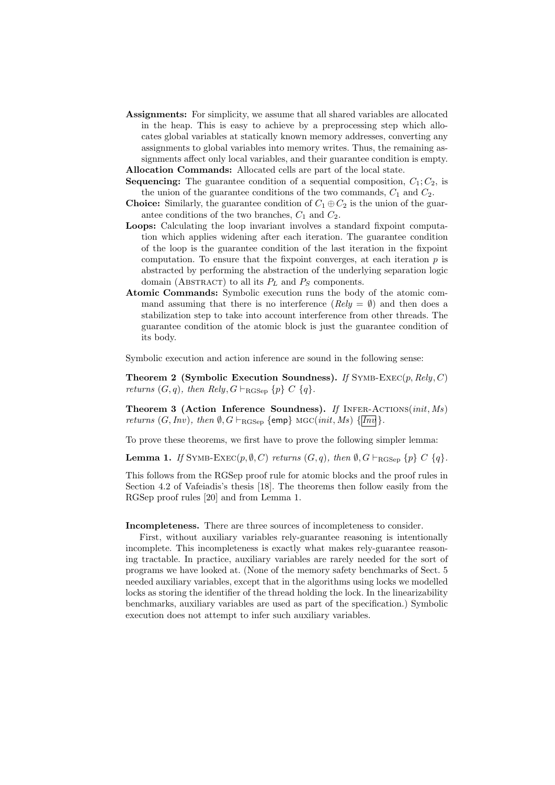- Assignments: For simplicity, we assume that all shared variables are allocated in the heap. This is easy to achieve by a preprocessing step which allocates global variables at statically known memory addresses, converting any assignments to global variables into memory writes. Thus, the remaining assignments affect only local variables, and their guarantee condition is empty.
- Allocation Commands: Allocated cells are part of the local state.
- **Sequencing:** The guarantee condition of a sequential composition,  $C_1$ ;  $C_2$ , is the union of the guarantee conditions of the two commands,  $C_1$  and  $C_2$ .
- **Choice:** Similarly, the guarantee condition of  $C_1 \oplus C_2$  is the union of the guarantee conditions of the two branches,  $C_1$  and  $C_2$ .
- Loops: Calculating the loop invariant involves a standard fixpoint computation which applies widening after each iteration. The guarantee condition of the loop is the guarantee condition of the last iteration in the fixpoint computation. To ensure that the fixpoint converges, at each iteration  $p$  is abstracted by performing the abstraction of the underlying separation logic domain (ABSTRACT) to all its  $P_L$  and  $P_S$  components.
- Atomic Commands: Symbolic execution runs the body of the atomic command assuming that there is no interference  $(Rely = \emptyset)$  and then does a stabilization step to take into account interference from other threads. The guarantee condition of the atomic block is just the guarantee condition of its body.

Symbolic execution and action inference are sound in the following sense:

Theorem 2 (Symbolic Execution Soundness). *If* Symb-Exec(p, *Rely*, C) *returns*  $(G, q)$ *, then Rely*,  $G \vdash_{\text{RGSep}} \{p\} C \{q\}$ *.* 

Theorem 3 (Action Inference Soundness). *If* Infer-Actions(*init*, *Ms*) *returns*  $(G, Inv)$ *, then*  $\emptyset, G \vdash_{\text{RGSen}} \{\text{emp} \}$  MGC(*init, Ms*)  $\{\overline{Inv}\}$ *.* 

To prove these theorems, we first have to prove the following simpler lemma:

**Lemma 1.** *If* SYMB-EXEC( $p$ ,  $\emptyset$ ,  $C$ ) *returns* ( $G$ ,  $q$ ), *then*  $\emptyset$ ,  $G \vdash_{\text{RGSep}} \{p\}$   $C \{q\}$ .

This follows from the RGSep proof rule for atomic blocks and the proof rules in Section 4.2 of Vafeiadis's thesis [18]. The theorems then follow easily from the RGSep proof rules [20] and from Lemma 1.

Incompleteness. There are three sources of incompleteness to consider.

First, without auxiliary variables rely-guarantee reasoning is intentionally incomplete. This incompleteness is exactly what makes rely-guarantee reasoning tractable. In practice, auxiliary variables are rarely needed for the sort of programs we have looked at. (None of the memory safety benchmarks of Sect. 5 needed auxiliary variables, except that in the algorithms using locks we modelled locks as storing the identifier of the thread holding the lock. In the linearizability benchmarks, auxiliary variables are used as part of the specification.) Symbolic execution does not attempt to infer such auxiliary variables.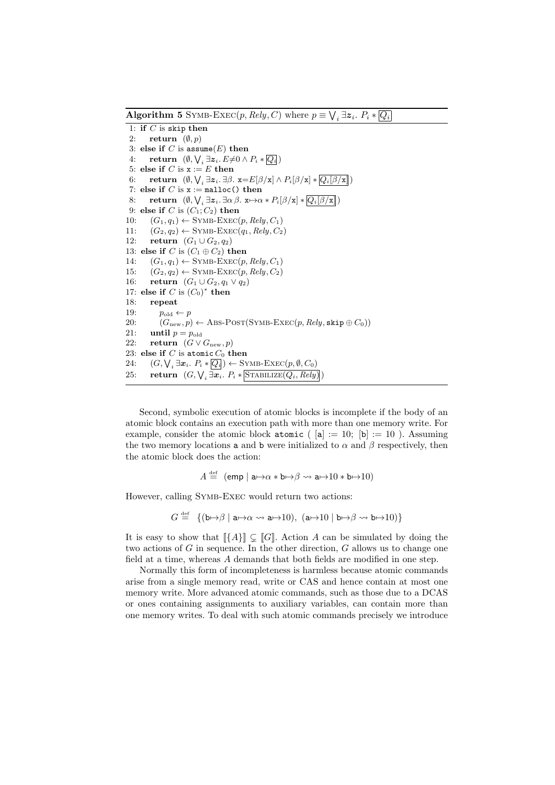Algorithm 5 SYMB-EXEC(*p*, *Rely*, *C*) where  $p \equiv \bigvee_i \exists z_i$ .  $P_i * \boxed{Q_i}$ 

```
1: if C is skip then
 2: return (\emptyset, p)3: else if C is assume(E) then
  4: return (\emptyset, \bigvee_i \exists z_i. E \neq 0 \land P_i * \boxed{Q_i})5: else if C is x := E then
  6: return (\emptyset, \bigvee_i \exists z_i \ldotp \exists \beta \ldotp x = E[\beta/x] \land P_i[\beta/x] * \boxed{Q_i[\beta/x]})7: else if C is x := \text{malloc}() then
  8: return (\emptyset, \bigvee_i \exists z_i \cdot \exists \alpha \beta \cdot x \mapsto \alpha * P_i[\beta/x] * Q_i[\beta/x])9: else if C is (C_1; C_2) then
10: (G_1, q_1) \leftarrow \text{SYMB-EXEC}(p, Rely, C_1)<br>11: (G_2, q_2) \leftarrow \text{SYMB-EXEC}(q_1, Rely, C_2)11: (G_2, q_2) \leftarrow \text{SYMB-EXEC}(q_1, Rely, C_2)<br>12: return (G_1 \cup G_2, q_2)return (G_1 \cup G_2, q_2)13: else if C is (C_1 \oplus C_2) then<br>14: (G_1, g_1) \leftarrow SYMB-EXEC(n.
14: (G_1, q_1) \leftarrow \text{SYMB-EXEC}(p, Rely, C_1)<br>15: (G_2, q_2) \leftarrow \text{SYMB-EXEC}(p, Relu, C_2)15: (G_2, q_2) \leftarrow \text{SYMB-EXEC}(p, Rely, C_2)<br>16: return (G_1 \cup G_2, q_1 \vee q_2)return (G_1 ∪ G_2, q_1 ∨ q_2)17: else if C is (C_0)^* then
18: repeat
19: p_{old} \leftarrow p<br>20: (G_{new}, p)20: (G_{\text{new}}, p) \leftarrow \text{ABS-POST}(\text{SYMB-EXEC}(p, Rely, \text{skip} \oplus C_0))<br>21: until p = p_{\text{old}}until p = p_{old}22: return (G \vee G_{\text{new}}, p)23: else if C is atomic C_0 then
24: (G, \bigvee_i \exists x_i \ldotp P_i * Q_i) \leftarrow \text{SYMB-EXEC}(p, \emptyset, C_0)25: return (G, \bigvee_i \exists x_i \ldotp P_i * \boxed{\text{STABILITY}(Q_i, Rely)})
```
Second, symbolic execution of atomic blocks is incomplete if the body of an atomic block contains an execution path with more than one memory write. For example, consider the atomic block atomic (  $[a] := 10$ ;  $[b] := 10$ ). Assuming the two memory locations a and b were initialized to  $\alpha$  and  $\beta$  respectively, then the atomic block does the action:

$$
A \stackrel{\text{def}}{=} (\text{emp} \mid \text{a} \rightarrow \alpha * \text{b} \rightarrow \beta \leadsto \text{a} \rightarrow 10 * \text{b} \rightarrow 10)
$$

However, calling Symb-Exec would return two actions:

$$
G \stackrel{\text{def}}{=} \{ (\mathbf{b} \mapsto \beta \mid \mathbf{a} \mapsto \alpha \leadsto \mathbf{a} \mapsto 10), \ (\mathbf{a} \mapsto 10 \mid \mathbf{b} \mapsto \beta \leadsto \mathbf{b} \mapsto 10) \}
$$

It is easy to show that  $\llbracket \{A\} \rrbracket \subsetneq \llbracket G \rrbracket$ . Action A can be simulated by doing the two actions of G in sequence. In the other direction, G allows us to change one field at a time, whereas A demands that both fields are modified in one step.

Normally this form of incompleteness is harmless because atomic commands arise from a single memory read, write or CAS and hence contain at most one memory write. More advanced atomic commands, such as those due to a DCAS or ones containing assignments to auxiliary variables, can contain more than one memory writes. To deal with such atomic commands precisely we introduce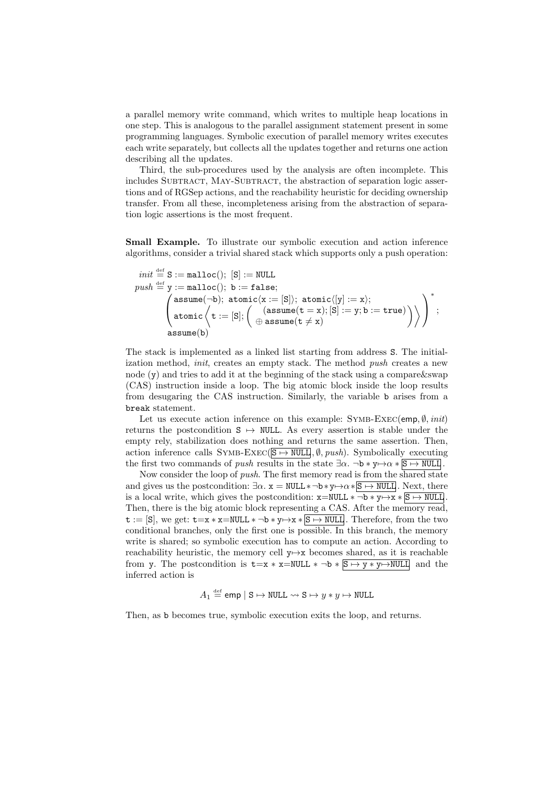a parallel memory write command, which writes to multiple heap locations in one step. This is analogous to the parallel assignment statement present in some programming languages. Symbolic execution of parallel memory writes executes each write separately, but collects all the updates together and returns one action describing all the updates.

Third, the sub-procedures used by the analysis are often incomplete. This includes SUBTRACT, MAY-SUBTRACT, the abstraction of separation logic assertions and of RGSep actions, and the reachability heuristic for deciding ownership transfer. From all these, incompleteness arising from the abstraction of separation logic assertions is the most frequent.

Small Example. To illustrate our symbolic execution and action inference algorithms, consider a trivial shared stack which supports only a push operation:

$$
\begin{array}{l} \mathit{init} \stackrel{\mathrm{def}}{=} \mathsf{S} := \mathtt{malloc}(); \ [\mathsf{S}] := \mathtt{NULL} \\ \mathit{push} \stackrel{\mathrm{def}}{=} \mathsf{y} := \mathtt{malloc}(); \ \mathsf{b} := \mathtt{false}; \\ \begin{pmatrix} \mathsf{assume}(\neg \mathsf{b}); \ \mathsf{atomic}\langle \mathsf{x} := [\mathsf{S}]\rangle; \ \mathsf{atomic}\langle [\mathsf{y}] := \mathsf{x}\rangle; \\ \mathsf{atomic}\left(\mathsf{t} := [\mathsf{S}]; \left(\begin{array}{c} (\mathtt{assume}(\mathsf{t} = \mathsf{x}); [\mathsf{S}] := \mathsf{y}; \mathsf{b} := \mathtt{true}) \\ \oplus \ \mathsf{assume}(\mathsf{t} \neq \mathsf{x}) \end{array}\right) \right) \end{array};
$$

The stack is implemented as a linked list starting from address S. The initialization method, *init*, creates an empty stack. The method *push* creates a new node (y) and tries to add it at the beginning of the stack using a compare&swap (CAS) instruction inside a loop. The big atomic block inside the loop results from desugaring the CAS instruction. Similarly, the variable b arises from a break statement.

Let us execute action inference on this example:  $SYMB-EXEC(emp, *0*, init)$ returns the postcondition  $S \rightarrow \text{NULL}$ . As every assertion is stable under the empty rely, stabilization does nothing and returns the same assertion. Then, action inference calls  $\text{SYMB-EXEC}(\overline{S \mapsto \text{NULL}}, \emptyset, \text{push})$ . Symbolically executing the first two commands of *push* results in the state  $\exists \alpha$ .  $\neg$ b \* y $\neg$  $\alpha$  \*  $\boxed{S \rightarrow \text{NULL}}$ .

Now consider the loop of *push*. The first memory read is from the shared state and gives us the postcondition:  $\exists \alpha \cdot x = \text{NULL} * \neg b * y \mapsto \alpha * \boxed{S \mapsto \text{NULL}}$ . Next, there is a local write, which gives the postcondition:  $x=NULL \times \overline{\neg b * y \rightarrow x} * \overline{S \rightarrow NULL}$ . Then, there is the big atomic block representing a CAS. After the memory read,  $t := [S]$ , we get:  $t = x * x = NULL * \neg b * y \rightarrow x * \overline{S \rightarrow NULL}$ . Therefore, from the two conditional branches, only the first one is possible. In this branch, the memory write is shared; so symbolic execution has to compute an action. According to reachability heuristic, the memory cell  $y \mapsto x$  becomes shared, as it is reachable from y. The postcondition is  $t=x * x=NULL * \neg b * S \rightarrow y * y \rightarrow NULL$  and the inferred action is

$$
A_1 \stackrel{\text{def}}{=} \text{emp} \mid S \mapsto \text{NULL} \rightsquigarrow S \mapsto y * y \mapsto \text{NULL}
$$

Then, as b becomes true, symbolic execution exits the loop, and returns.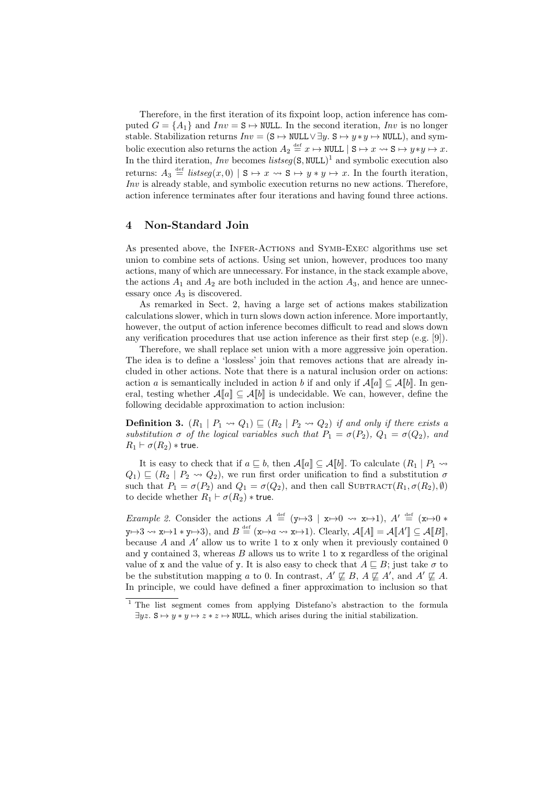Therefore, in the first iteration of its fixpoint loop, action inference has computed  $G = \{A_1\}$  and  $Inv = S \rightarrow NULL$ . In the second iteration, *Inv* is no longer stable. Stabilization returns  $Inv = (\mathbf{S} \mapsto \mathbf{NULL} \vee \exists y. \ \mathbf{S} \mapsto y * y \mapsto \mathbf{NULL})$ , and symbolic execution also returns the action  $A_2 \stackrel{\text{def}}{=} x \mapsto \text{NULL} \mid \text{S} \mapsto x \rightsquigarrow \text{S} \mapsto y * y \mapsto x.$ In the third iteration,  $Inv$  becomes  $listseq(S, NULL)^1$  and symbolic execution also returns:  $A_3 \stackrel{\text{def}}{=} \textit{listseg}(x,0) \mid S \mapsto x \leadsto S \mapsto y * y \mapsto x$ . In the fourth iteration, *Inv* is already stable, and symbolic execution returns no new actions. Therefore, action inference terminates after four iterations and having found three actions.

### 4 Non-Standard Join

As presented above, the Infer-Actions and Symb-Exec algorithms use set union to combine sets of actions. Using set union, however, produces too many actions, many of which are unnecessary. For instance, in the stack example above, the actions  $A_1$  and  $A_2$  are both included in the action  $A_3$ , and hence are unnecessary once  $A_3$  is discovered.

As remarked in Sect. 2, having a large set of actions makes stabilization calculations slower, which in turn slows down action inference. More importantly, however, the output of action inference becomes difficult to read and slows down any verification procedures that use action inference as their first step (e.g. [9]).

Therefore, we shall replace set union with a more aggressive join operation. The idea is to define a 'lossless' join that removes actions that are already included in other actions. Note that there is a natural inclusion order on actions: action a is semantically included in action b if and only if  $\mathcal{A}[\![a]\!] \subseteq \mathcal{A}[\![b]\!]$ . In general, testing whether  $\mathcal{A}[[a]] \subseteq \mathcal{A}[[b]]$  is undecidable. We can, however, define the following decidable approximation to action inclusion:

**Definition 3.**  $(R_1 | P_1 \leadsto Q_1) \sqsubseteq (R_2 | P_2 \leadsto Q_2)$  *if and only if there exists a substitution*  $\sigma$  *of the logical variables such that*  $P_1 = \sigma(P_2)$ *,*  $Q_1 = \sigma(Q_2)$ *, and*  $R_1 \vdash \sigma(R_2) * \text{true}.$ 

It is easy to check that if  $a \subseteq b$ , then  $\mathcal{A}[[a]] \subseteq \mathcal{A}[[b]]$ . To calculate  $(R_1 | P_1 \leadsto$  $Q_1$ )  $\subseteq$   $(R_2 | P_2 \rightarrow Q_2)$ , we run first order unification to find a substitution  $\sigma$ such that  $P_1 = \sigma(P_2)$  and  $Q_1 = \sigma(Q_2)$ , and then call SUBTRACT $(R_1, \sigma(R_2), \emptyset)$ to decide whether  $R_1 \vdash \sigma(R_2) * \text{true}.$ 

*Example 2.* Consider the actions  $A \stackrel{\text{def}}{=} (\mathbf{v} \mapsto 3 \mid \mathbf{x} \mapsto 0 \leadsto \mathbf{x} \mapsto 1)$ ,  $A' \stackrel{\text{def}}{=} (\mathbf{x} \mapsto 0 \ast \mathbf{x} \mapsto 0 \ast \mathbf{x} \mapsto 0$  $y \mapsto 3 \leadsto x \mapsto 1 * y \mapsto 3$ , and  $B \stackrel{\text{def}}{=} (x \mapsto a \leadsto x \mapsto 1)$ . Clearly,  $\mathcal{A}[\![A]\!] = \mathcal{A}[\![A']\!] \subseteq \mathcal{A}[\![B]\!]$ , because A and A' allow us to write 1 to x only when it previously contained  $0$ and y contained 3, whereas  $B$  allows us to write 1 to x regardless of the original value of x and the value of y. It is also easy to check that  $A \sqsubseteq B$ ; just take  $\sigma$  to be the substitution mapping a to 0. In contrast,  $A' \not\sqsubseteq B$ ,  $A \not\sqsubseteq A'$ , and  $A' \not\sqsubseteq A$ . In principle, we could have defined a finer approximation to inclusion so that

<sup>1</sup> The list segment comes from applying Distefano's abstraction to the formula  $\exists uz. S \mapsto y * y \mapsto z * z \mapsto \text{NULL}$ , which arises during the initial stabilization.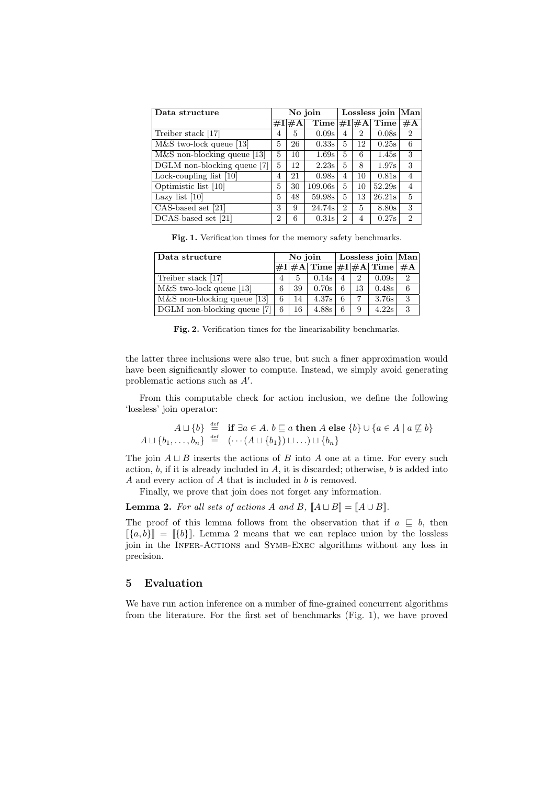| Data structure                                      | No join |           |         |                | Lossless join Man |        |                |
|-----------------------------------------------------|---------|-----------|---------|----------------|-------------------|--------|----------------|
|                                                     |         | $\#I \#A$ | Time    |                | $\#I \#A $        | Time   | #A             |
| Treiber stack [17]                                  | 4       | 5         | 0.09s   | 4              | $\overline{2}$    | 0.08s  | $\overline{2}$ |
| $\overline{\text{M}\&\text{S}}$ two-lock queue [13] | 5       | 26        | 0.33s   | 5              | 12                | 0.25s  | 6              |
| $M\&S$ non-blocking queue [13]                      | 5       | 10        | 1.69s   | 5              | 6                 | 1.45s  | 3              |
| DGLM non-blocking queue [7]                         | 5       | 12        | 2.23s   | 5              | 8                 | 1.97s  | 3              |
| Lock-coupling list $[10]$                           | 4       | 21        | 0.98s   | 4              | 10                | 0.81s  | 4              |
| $\overline{\text{Optimistic}}$ list [10]            | 5       | 30        | 109.06s | 5              | 10                | 52.29s | 4              |
| Lazy list $[10]$                                    | 5       | 48        | 59.98s  | 5              | 13                | 26.21s | 5              |
| $CAS$ -based set [21]                               | 3       | 9         | 24.74s  | $\mathcal{D}$  | 5                 | 8.80s  | 3              |
| DCAS-based set [21]                                 | 2       | 6         | 0.31s   | $\overline{2}$ | 4                 | 0.27s  | $\overline{2}$ |

Fig. 1. Verification times for the memory safety benchmarks.

| Data structure                | No join |    |        |   | Lossless join Man |                                             |   |
|-------------------------------|---------|----|--------|---|-------------------|---------------------------------------------|---|
|                               |         |    |        |   |                   | $\pm I \# A$ Time $\pm I \# A$ Time $\pm A$ |   |
| Treiber stack [17]            | 4       | 5. | 0.14s' | 4 | $\overline{2}$    | 0.09s                                       |   |
| M&S two-lock queue $[13]$     | 6       | 39 | 0.70s  |   | 13                | 0.48s                                       |   |
| $M&S$ non-blocking queue [13] | 6       | 14 | 4.37s  |   |                   | 3.76s                                       | 3 |
| DGLM non-blocking queue [7]   |         | 16 | 4.88s  |   | 9                 | 4.22s                                       | 3 |

Fig. 2. Verification times for the linearizability benchmarks.

the latter three inclusions were also true, but such a finer approximation would have been significantly slower to compute. Instead, we simply avoid generating problematic actions such as A'.

From this computable check for action inclusion, we define the following 'lossless' join operator:

$$
A \sqcup \{b\} \stackrel{\text{def}}{=} \text{ if } \exists a \in A. \ b \sqsubseteq a \text{ then } A \text{ else } \{b\} \cup \{a \in A \mid a \not\sqsubseteq b\}
$$

$$
A \sqcup \{b_1, \ldots, b_n\} \stackrel{\text{def}}{=} (\cdots (A \sqcup \{b_1\}) \sqcup \ldots) \sqcup \{b_n\}
$$

The join  $A \sqcup B$  inserts the actions of B into A one at a time. For every such action,  $b$ , if it is already included in  $A$ , it is discarded; otherwise,  $b$  is added into A and every action of A that is included in b is removed.

Finally, we prove that join does not forget any information.

**Lemma 2.** For all sets of actions A and B,  $[A \sqcup B] = [A \cup B]$ .

The proof of this lemma follows from the observation that if  $a \subseteq b$ , then  $[\{a, b\}] = [\{b\}]$ . Lemma 2 means that we can replace union by the lossless join in the INFER-ACTIONS and SYMB-EXEC algorithms without any loss in precision.

# 5 Evaluation

We have run action inference on a number of fine-grained concurrent algorithms from the literature. For the first set of benchmarks (Fig. 1), we have proved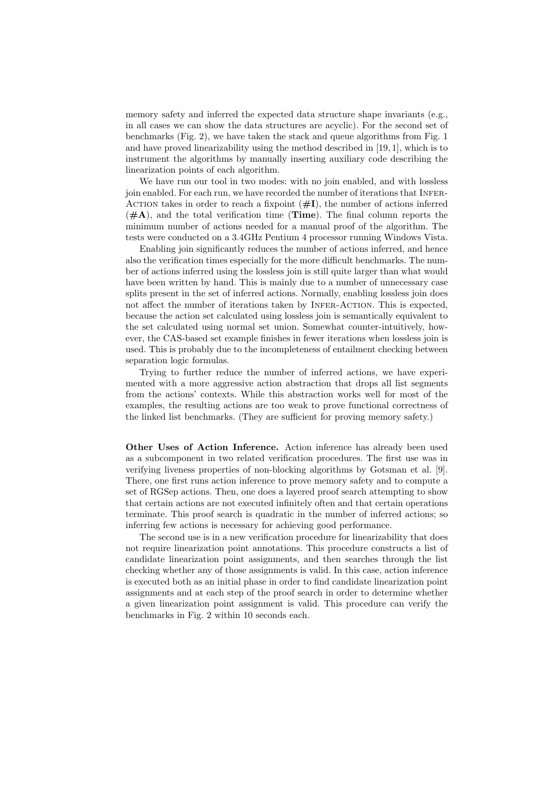memory safety and inferred the expected data structure shape invariants (e.g., in all cases we can show the data structures are acyclic). For the second set of benchmarks (Fig. 2), we have taken the stack and queue algorithms from Fig. 1 and have proved linearizability using the method described in [19, 1], which is to instrument the algorithms by manually inserting auxiliary code describing the linearization points of each algorithm.

We have run our tool in two modes: with no join enabled, and with lossless join enabled. For each run, we have recorded the number of iterations that INFER-ACTION takes in order to reach a fixpoint  $(\#I)$ , the number of actions inferred  $(\#A)$ , and the total verification time (Time). The final column reports the minimum number of actions needed for a manual proof of the algorithm. The tests were conducted on a 3.4GHz Pentium 4 processor running Windows Vista.

Enabling join significantly reduces the number of actions inferred, and hence also the verification times especially for the more difficult benchmarks. The number of actions inferred using the lossless join is still quite larger than what would have been written by hand. This is mainly due to a number of unnecessary case splits present in the set of inferred actions. Normally, enabling lossless join does not affect the number of iterations taken by INFER-ACTION. This is expected, because the action set calculated using lossless join is semantically equivalent to the set calculated using normal set union. Somewhat counter-intuitively, however, the CAS-based set example finishes in fewer iterations when lossless join is used. This is probably due to the incompleteness of entailment checking between separation logic formulas.

Trying to further reduce the number of inferred actions, we have experimented with a more aggressive action abstraction that drops all list segments from the actions' contexts. While this abstraction works well for most of the examples, the resulting actions are too weak to prove functional correctness of the linked list benchmarks. (They are sufficient for proving memory safety.)

Other Uses of Action Inference. Action inference has already been used as a subcomponent in two related verification procedures. The first use was in verifying liveness properties of non-blocking algorithms by Gotsman et al. [9]. There, one first runs action inference to prove memory safety and to compute a set of RGSep actions. Then, one does a layered proof search attempting to show that certain actions are not executed infinitely often and that certain operations terminate. This proof search is quadratic in the number of inferred actions; so inferring few actions is necessary for achieving good performance.

The second use is in a new verification procedure for linearizability that does not require linearization point annotations. This procedure constructs a list of candidate linearization point assignments, and then searches through the list checking whether any of those assignments is valid. In this case, action inference is executed both as an initial phase in order to find candidate linearization point assignments and at each step of the proof search in order to determine whether a given linearization point assignment is valid. This procedure can verify the benchmarks in Fig. 2 within 10 seconds each.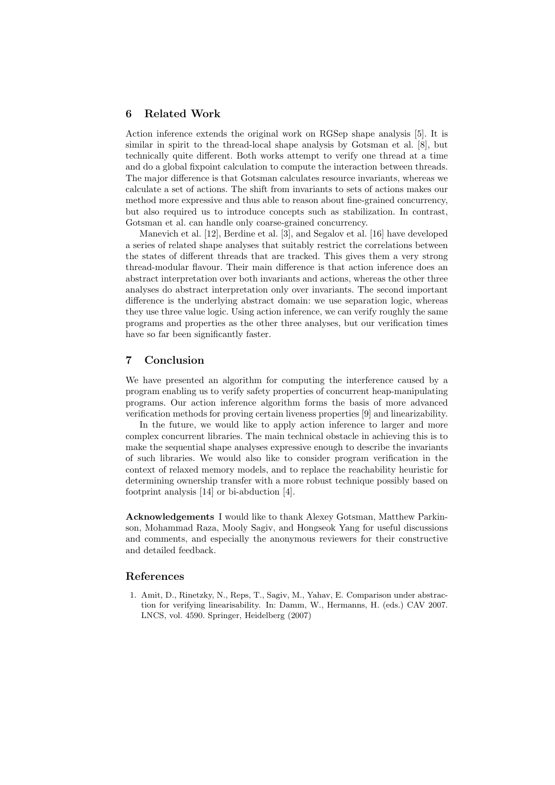#### 6 Related Work

Action inference extends the original work on RGSep shape analysis [5]. It is similar in spirit to the thread-local shape analysis by Gotsman et al. [8], but technically quite different. Both works attempt to verify one thread at a time and do a global fixpoint calculation to compute the interaction between threads. The major difference is that Gotsman calculates resource invariants, whereas we calculate a set of actions. The shift from invariants to sets of actions makes our method more expressive and thus able to reason about fine-grained concurrency, but also required us to introduce concepts such as stabilization. In contrast, Gotsman et al. can handle only coarse-grained concurrency.

Manevich et al. [12], Berdine et al. [3], and Segalov et al. [16] have developed a series of related shape analyses that suitably restrict the correlations between the states of different threads that are tracked. This gives them a very strong thread-modular flavour. Their main difference is that action inference does an abstract interpretation over both invariants and actions, whereas the other three analyses do abstract interpretation only over invariants. The second important difference is the underlying abstract domain: we use separation logic, whereas they use three value logic. Using action inference, we can verify roughly the same programs and properties as the other three analyses, but our verification times have so far been significantly faster.

#### 7 Conclusion

We have presented an algorithm for computing the interference caused by a program enabling us to verify safety properties of concurrent heap-manipulating programs. Our action inference algorithm forms the basis of more advanced verification methods for proving certain liveness properties [9] and linearizability.

In the future, we would like to apply action inference to larger and more complex concurrent libraries. The main technical obstacle in achieving this is to make the sequential shape analyses expressive enough to describe the invariants of such libraries. We would also like to consider program verification in the context of relaxed memory models, and to replace the reachability heuristic for determining ownership transfer with a more robust technique possibly based on footprint analysis [14] or bi-abduction [4].

Acknowledgements I would like to thank Alexey Gotsman, Matthew Parkinson, Mohammad Raza, Mooly Sagiv, and Hongseok Yang for useful discussions and comments, and especially the anonymous reviewers for their constructive and detailed feedback.

### References

1. Amit, D., Rinetzky, N., Reps, T., Sagiv, M., Yahav, E. Comparison under abstraction for verifying linearisability. In: Damm, W., Hermanns, H. (eds.) CAV 2007. LNCS, vol. 4590. Springer, Heidelberg (2007)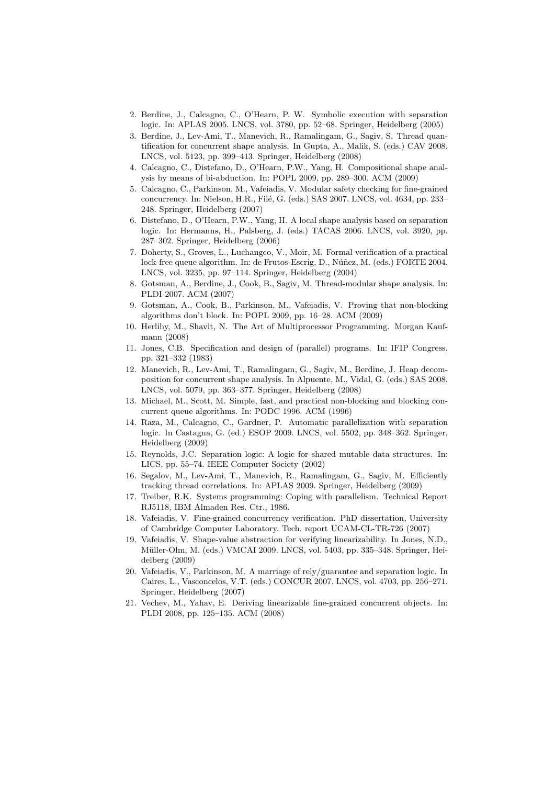- 2. Berdine, J., Calcagno, C., O'Hearn, P. W. Symbolic execution with separation logic. In: APLAS 2005. LNCS, vol. 3780, pp. 52–68. Springer, Heidelberg (2005)
- 3. Berdine, J., Lev-Ami, T., Manevich, R., Ramalingam, G., Sagiv, S. Thread quantification for concurrent shape analysis. In Gupta, A., Malik, S. (eds.) CAV 2008. LNCS, vol. 5123, pp. 399–413. Springer, Heidelberg (2008)
- 4. Calcagno, C., Distefano, D., O'Hearn, P.W., Yang, H. Compositional shape analysis by means of bi-abduction. In: POPL 2009, pp. 289–300. ACM (2009)
- 5. Calcagno, C., Parkinson, M., Vafeiadis, V. Modular safety checking for fine-grained concurrency. In: Nielson, H.R., Filé, G. (eds.) SAS 2007. LNCS, vol. 4634, pp. 233– 248. Springer, Heidelberg (2007)
- 6. Distefano, D., O'Hearn, P.W., Yang, H. A local shape analysis based on separation logic. In: Hermanns, H., Palsberg, J. (eds.) TACAS 2006. LNCS, vol. 3920, pp. 287–302. Springer, Heidelberg (2006)
- 7. Doherty, S., Groves, L., Luchangco, V., Moir, M. Formal verification of a practical lock-free queue algorithm. In: de Frutos-Escrig, D., Núñez, M. (eds.) FORTE 2004. LNCS, vol. 3235, pp. 97–114. Springer, Heidelberg (2004)
- 8. Gotsman, A., Berdine, J., Cook, B., Sagiv, M. Thread-modular shape analysis. In: PLDI 2007. ACM (2007)
- 9. Gotsman, A., Cook, B., Parkinson, M., Vafeiadis, V. Proving that non-blocking algorithms don't block. In: POPL 2009, pp. 16–28. ACM (2009)
- 10. Herlihy, M., Shavit, N. The Art of Multiprocessor Programming. Morgan Kaufmann (2008)
- 11. Jones, C.B. Specification and design of (parallel) programs. In: IFIP Congress, pp. 321–332 (1983)
- 12. Manevich, R., Lev-Ami, T., Ramalingam, G., Sagiv, M., Berdine, J. Heap decomposition for concurrent shape analysis. In Alpuente, M., Vidal, G. (eds.) SAS 2008. LNCS, vol. 5079, pp. 363–377. Springer, Heidelberg (2008)
- 13. Michael, M., Scott, M. Simple, fast, and practical non-blocking and blocking concurrent queue algorithms. In: PODC 1996. ACM (1996)
- 14. Raza, M., Calcagno, C., Gardner, P. Automatic parallelization with separation logic. In Castagna, G. (ed.) ESOP 2009. LNCS, vol. 5502, pp. 348–362. Springer, Heidelberg (2009)
- 15. Reynolds, J.C. Separation logic: A logic for shared mutable data structures. In: LICS, pp. 55–74. IEEE Computer Society (2002)
- 16. Segalov, M., Lev-Ami, T., Manevich, R., Ramalingam, G., Sagiv, M. Efficiently tracking thread correlations. In: APLAS 2009. Springer, Heidelberg (2009)
- 17. Treiber, R.K. Systems programming: Coping with parallelism. Technical Report RJ5118, IBM Almaden Res. Ctr., 1986.
- 18. Vafeiadis, V. Fine-grained concurrency verification. PhD dissertation, University of Cambridge Computer Laboratory. Tech. report UCAM-CL-TR-726 (2007)
- 19. Vafeiadis, V. Shape-value abstraction for verifying linearizability. In Jones, N.D., Müller-Olm, M. (eds.) VMCAI 2009. LNCS, vol. 5403, pp. 335–348. Springer, Heidelberg (2009)
- 20. Vafeiadis, V., Parkinson, M. A marriage of rely/guarantee and separation logic. In Caires, L., Vasconcelos, V.T. (eds.) CONCUR 2007. LNCS, vol. 4703, pp. 256–271. Springer, Heidelberg (2007)
- 21. Vechev, M., Yahav, E. Deriving linearizable fine-grained concurrent objects. In: PLDI 2008, pp. 125–135. ACM (2008)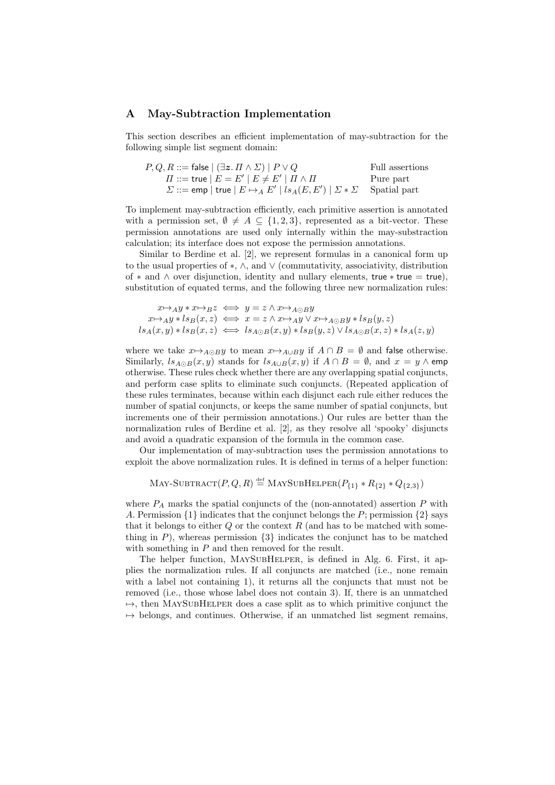### A May-Subtraction Implementation

This section describes an efficient implementation of may-subtraction for the following simple list segment domain:

$$
P, Q, R ::= \mathsf{false} \mid (\exists z. \Pi \land \Sigma) \mid P \lor Q
$$
 Full assertions  
\n
$$
\Pi ::= \mathsf{true} \mid E = E' \mid E \neq E' \mid \Pi \land \Pi
$$
 Pure part  
\n
$$
\Sigma ::= \mathsf{emp} \mid \mathsf{true} \mid E \mapsto_A E' \mid ls_A(E, E') \mid \Sigma * \Sigma
$$
 Spatial part

To implement may-subtraction efficiently, each primitive assertion is annotated with a permission set,  $\emptyset \neq A \subseteq \{1,2,3\}$ , represented as a bit-vector. These permission annotations are used only internally within the may-substraction calculation; its interface does not expose the permission annotations.

Similar to Berdine et al. [2], we represent formulas in a canonical form up to the usual properties of ∗, ∧, and ∨ (commutativity, associativity, distribution of  $*$  and  $∧$  over disjunction, identity and nullary elements, true  $*$  true = true). substitution of equated terms, and the following three new normalization rules:

$$
x \mapsto_A y * x \mapsto_B z \iff y = z \land x \mapsto_{A \odot B} y
$$
  
\n
$$
x \mapsto_A y * l s_B(x, z) \iff x = z \land x \mapsto_A y \lor x \mapsto_{A \odot B} y * l s_B(y, z)
$$
  
\n
$$
l s_A(x, y) * l s_B(x, z) \iff l s_{A \odot B}(x, y) * l s_B(y, z) \lor l s_{A \odot B}(x, z) * l s_A(z, y)
$$

where we take  $x \mapsto_{A \odot B} y$  to mean  $x \mapsto_{A \cup B} y$  if  $A \cap B = \emptyset$  and false otherwise. Similarly,  $ls_{A\odot B}(x, y)$  stands for  $ls_{A\cup B}(x, y)$  if  $A \cap B = \emptyset$ , and  $x = y \wedge$ emp otherwise. These rules check whether there are any overlapping spatial conjuncts, and perform case splits to eliminate such conjuncts. (Repeated application of these rules terminates, because within each disjunct each rule either reduces the number of spatial conjuncts, or keeps the same number of spatial conjuncts, but increments one of their permission annotations.) Our rules are better than the normalization rules of Berdine et al. [2], as they resolve all 'spooky' disjuncts and avoid a quadratic expansion of the formula in the common case.

Our implementation of may-subtraction uses the permission annotations to exploit the above normalization rules. It is defined in terms of a helper function:

$$
\text{Mary-SUBTRACT}(P, Q, R) \stackrel{\text{def}}{=} \text{MAXSUBHELPER}(P_{\{1\}} * R_{\{2\}} * Q_{\{2,3\}})
$$

where  $P_A$  marks the spatial conjuncts of the (non-annotated) assertion  $P$  with A. Permission  $\{1\}$  indicates that the conjunct belongs the P; permission  $\{2\}$  says that it belongs to either  $Q$  or the context  $R$  (and has to be matched with something in  $P$ ), whereas permission  $\{3\}$  indicates the conjunct has to be matched with something in  $P$  and then removed for the result.

The helper function, MAYSUBHELPER, is defined in Alg. 6. First, it applies the normalization rules. If all conjuncts are matched (i.e., none remain with a label not containing 1), it returns all the conjuncts that must not be removed (i.e., those whose label does not contain 3). If, there is an unmatched  $\mapsto$ , then MAYSUBHELPER does a case split as to which primitive conjunct the  $\mapsto$  belongs, and continues. Otherwise, if an unmatched list segment remains,